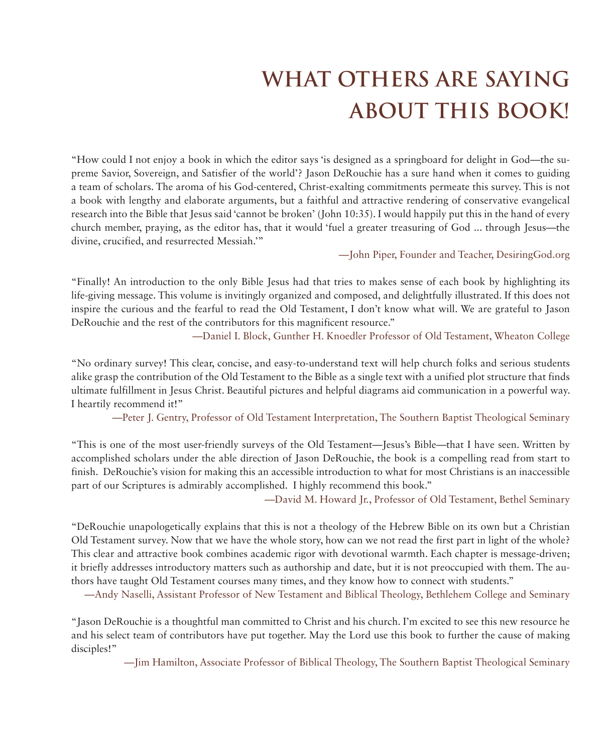## **WHAT OTHERS ARE SAYING ABOUT THIS BOOK!**

"How could I not enjoy a book in which the editor says 'is designed as a springboard for delight in God—the supreme Savior, Sovereign, and Satisfier of the world'? Jason DeRouchie has a sure hand when it comes to guiding a team of scholars. The aroma of his God-centered, Christ-exalting commitments permeate this survey. This is not a book with lengthy and elaborate arguments, but a faithful and attractive rendering of conservative evangelical research into the Bible that Jesus said 'cannot be broken' (John 10:35). I would happily put this in the hand of every church member, praying, as the editor has, that it would 'fuel a greater treasuring of God ... through Jesus—the divine, crucified, and resurrected Messiah.'"

—John Piper, Founder and Teacher, DesiringGod.org

"Finally! An introduction to the only Bible Jesus had that tries to makes sense of each book by highlighting its life-giving message. This volume is invitingly organized and composed, and delightfully illustrated. If this does not inspire the curious and the fearful to read the Old Testament, I don't know what will. We are grateful to Jason DeRouchie and the rest of the contributors for this magnificent resource."

—Daniel I. Block, Gunther H. Knoedler Professor of Old Testament, Wheaton College

"No ordinary survey! This clear, concise, and easy-to-understand text will help church folks and serious students alike grasp the contribution of the Old Testament to the Bible as a single text with a unified plot structure that finds ultimate fulfillment in Jesus Christ. Beautiful pictures and helpful diagrams aid communication in a powerful way. I heartily recommend it!"

—Peter J. Gentry, Professor of Old Testament Interpretation, The Southern Baptist Theological Seminary

"This is one of the most user-friendly surveys of the Old Testament—Jesus's Bible—that I have seen. Written by accomplished scholars under the able direction of Jason DeRouchie, the book is a compelling read from start to finish. DeRouchie's vision for making this an accessible introduction to what for most Christians is an inaccessible part of our Scriptures is admirably accomplished. I highly recommend this book."

—David M. Howard Jr., Professor of Old Testament, Bethel Seminary

"DeRouchie unapologetically explains that this is not a theology of the Hebrew Bible on its own but a Christian Old Testament survey. Now that we have the whole story, how can we not read the first part in light of the whole? This clear and attractive book combines academic rigor with devotional warmth. Each chapter is message-driven; it briefly addresses introductory matters such as authorship and date, but it is not preoccupied with them. The authors have taught Old Testament courses many times, and they know how to connect with students."

—Andy Naselli, Assistant Professor of New Testament and Biblical Theology, Bethlehem College and Seminary

"Jason DeRouchie is a thoughtful man committed to Christ and his church. I'm excited to see this new resource he and his select team of contributors have put together. May the Lord use this book to further the cause of making disciples!"

—Jim Hamilton, Associate Professor of Biblical Theology, The Southern Baptist Theological Seminary